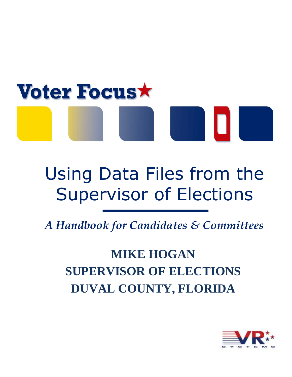# **Voter Focus**

# Using Data Files from the Supervisor of Elections

*A Handbook for Candidates & Committees* 

# **MIKE HOGAN SUPERVISOR OF ELECTIONS DUVAL COUNTY, FLORIDA**

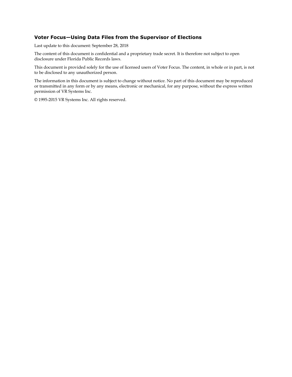#### **Voter Focus—Using Data Files from the Supervisor of Elections**

Last update to this document: September 28, 2018

The content of this document is confidential and a proprietary trade secret. It is therefore not subject to open disclosure under Florida Public Records laws.

This document is provided solely for the use of licensed users of Voter Focus. The content, in whole or in part, is not to be disclosed to any unauthorized person.

The information in this document is subject to change without notice. No part of this document may be reproduced or transmitted in any form or by any means, electronic or mechanical, for any purpose, without the express written permission of VR Systems Inc.

© 1995-2015 VR Systems Inc. All rights reserved.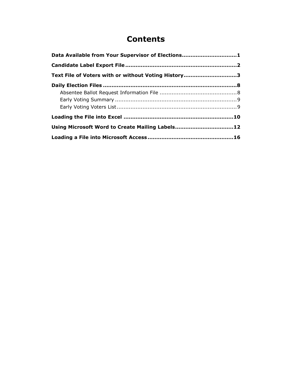#### **Contents**

| Data Available from Your Supervisor of Elections1   |  |
|-----------------------------------------------------|--|
|                                                     |  |
| Text File of Voters with or without Voting History3 |  |
|                                                     |  |
|                                                     |  |
|                                                     |  |
|                                                     |  |
|                                                     |  |
| Using Microsoft Word to Create Mailing Labels12     |  |
|                                                     |  |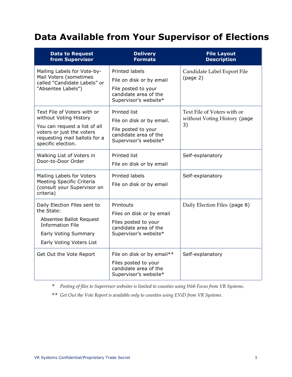## <span id="page-3-0"></span>**Data Available from Your Supervisor of Elections**

| <b>Data to Request</b><br>from Supervisor                                                                                                                                  | <b>Delivery</b><br><b>Formats</b>                                                                                          | <b>File Layout</b><br><b>Description</b>                          |
|----------------------------------------------------------------------------------------------------------------------------------------------------------------------------|----------------------------------------------------------------------------------------------------------------------------|-------------------------------------------------------------------|
| Mailing Labels for Vote-by-<br>Mail Voters (sometimes<br>called "Candidate Labels" or<br>"Absentee Labels")                                                                | <b>Printed labels</b><br>File on disk or by email<br>File posted to your<br>candidate area of the<br>Supervisor's website* | Candidate Label Export File<br>(page 2)                           |
| Text File of Voters with or<br>without Voting History<br>You can request a list of all<br>voters or just the voters<br>requesting mail ballots for a<br>specific election. | Printed list<br>File on disk or by email.<br>File posted to your<br>candidate area of the<br>Supervisor's website*         | Text File of Voters with or<br>without Voting History (page<br>3) |
| Walking List of Voters in<br>Door-to-Door Order                                                                                                                            | Printed list<br>File on disk or by email                                                                                   | Self-explanatory                                                  |
| Mailing Labels for Voters<br>Meeting Specific Criteria<br>(consult your Supervisor on<br>criteria)                                                                         | <b>Printed labels</b><br>File on disk or by email                                                                          | Self-explanatory                                                  |
| Daily Election Files sent to<br>the State:<br>Absentee Ballot Request<br><b>Information File</b><br>Early Voting Summary<br>Early Voting Voters List                       | Printouts<br>Files on disk or by email<br>Files posted to your<br>candidate area of the<br>Supervisor's website*           | Daily Election Files (page 8)                                     |
| Get Out the Vote Report                                                                                                                                                    | File on disk or by email**<br>Files posted to your<br>candidate area of the<br>Supervisor's website*                       | Self-explanatory                                                  |

*\* Posting of files to Supervisor websites is limited to counties using Web Focus from VR Systems.*

*\*\* Get Out the Vote Report is available only to counties using EViD from VR Systems.*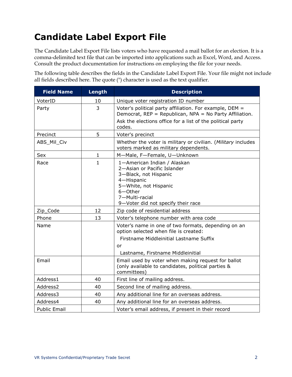# <span id="page-4-0"></span>**Candidate Label Export File**

The Candidate Label Export File lists voters who have requested a mail ballot for an election. It is a comma-delimited text file that can be imported into applications such as Excel, Word, and Access. Consult the product documentation for instructions on employing the file for your needs.

The following table describes the fields in the Candidate Label Export File. Your file might not include all fields described here. The quote (") character is used as the text qualifier.

| <b>Field Name</b>    | Length       | <b>Description</b>                                                                                                                                                                                |
|----------------------|--------------|---------------------------------------------------------------------------------------------------------------------------------------------------------------------------------------------------|
| VoterID              | 10           | Unique voter registration ID number                                                                                                                                                               |
| Party                | 3            | Voter's political party affiliation. For example, DEM =<br>Democrat, REP = Republican, NPA = No Party Affiliation.<br>Ask the elections office for a list of the political party<br>codes.        |
| Precinct             | 5            | Voter's precinct                                                                                                                                                                                  |
| ABS_Mil_Civ          |              | Whether the voter is military or civilian. (Military includes<br>voters marked as military dependents.                                                                                            |
| Sex                  | 1            | M-Male, F-Female, U-Unknown                                                                                                                                                                       |
| Race                 | $\mathbf{1}$ | 1-American Indian / Alaskan<br>2-Asian or Pacific Islander<br>3-Black, not Hispanic<br>4-Hispanic<br>5-White, not Hispanic<br>$6 -$ Other<br>7-Multi-racial<br>9-Voter did not specify their race |
| Zip_Code             | 12           | Zip code of residential address                                                                                                                                                                   |
| Phone                | 13           | Voter's telephone number with area code                                                                                                                                                           |
| Name                 |              | Voter's name in one of two formats, depending on an<br>option selected when file is created:<br>Firstname Middleinitial Lastname Suffix<br>or<br>Lastname, Firstname Middleinitial                |
| Email                |              | Email used by voter when making request for ballot<br>(only available to candidates, political parties &<br>committees)                                                                           |
| Address1             | 40           | First line of mailing address.                                                                                                                                                                    |
| Address <sub>2</sub> | 40           | Second line of mailing address.                                                                                                                                                                   |
| Address3             | 40           | Any additional line for an overseas address.                                                                                                                                                      |
| Address4             | 40           | Any additional line for an overseas address.                                                                                                                                                      |
| <b>Public Email</b>  |              | Voter's email address, if present in their record                                                                                                                                                 |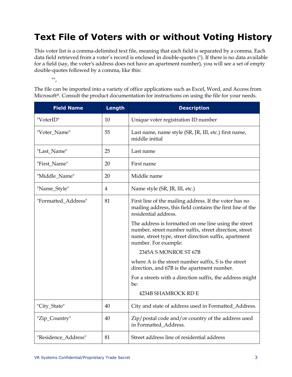# <span id="page-5-0"></span>**Text File of Voters with or without Voting History**

This voter list is a comma-delimited text file, meaning that each field is separated by a comma. Each data field retrieved from a voter's record is enclosed in double-quotes ("). If there is no data available for a field (say, the voter's address does not have an apartment number), you will see a set of empty double-quotes followed by a comma, like this:

 $^{\rm III}$ ,

The file can be imported into a variety of office applications such as Excel, Word, and Access from Microsoft®. Consult the product documentation for instructions on using the file for your needs.

| <b>Field Name</b>   | Length | <b>Description</b>                                                                                                                                                                                                                                                                                                                                                                                                                                                                                                                           |
|---------------------|--------|----------------------------------------------------------------------------------------------------------------------------------------------------------------------------------------------------------------------------------------------------------------------------------------------------------------------------------------------------------------------------------------------------------------------------------------------------------------------------------------------------------------------------------------------|
| "VoterID"           | 10     | Unique voter registration ID number                                                                                                                                                                                                                                                                                                                                                                                                                                                                                                          |
| "Voter_Name"        | 55     | Last name, name style (SR, JR, III, etc.) first name,<br>middle initial                                                                                                                                                                                                                                                                                                                                                                                                                                                                      |
| "Last_Name"         | 25     | Last name                                                                                                                                                                                                                                                                                                                                                                                                                                                                                                                                    |
| "First_Name"        | 20     | First name                                                                                                                                                                                                                                                                                                                                                                                                                                                                                                                                   |
| "Middle_Name"       | 20     | Middle name                                                                                                                                                                                                                                                                                                                                                                                                                                                                                                                                  |
| "Name_Style"        | 4      | Name style (SR, JR, III, etc.)                                                                                                                                                                                                                                                                                                                                                                                                                                                                                                               |
| "Formatted_Address" | 81     | First line of the mailing address. If the voter has no<br>mailing address, this field contains the first line of the<br>residential address.<br>The address is formatted on one line using the street<br>number, street number suffix, street direction, street<br>name, street type, street direction suffix, apartment<br>number. For example:<br>2345A S MONROE ST 67B<br>where A is the street number suffix, S is the street<br>direction, and 67B is the apartment number.<br>For a streets with a direction suffix, the address might |
|                     |        | be:<br>4234B SHAMROCK RD E                                                                                                                                                                                                                                                                                                                                                                                                                                                                                                                   |
| "City_State"        | 40     | City and state of address used in Formatted_Address.                                                                                                                                                                                                                                                                                                                                                                                                                                                                                         |
| "Zip_Country"       | 40     | Zip/postal code and/or country of the address used<br>in Formatted_Address.                                                                                                                                                                                                                                                                                                                                                                                                                                                                  |
| "Residence_Address" | 81     | Street address line of residential address                                                                                                                                                                                                                                                                                                                                                                                                                                                                                                   |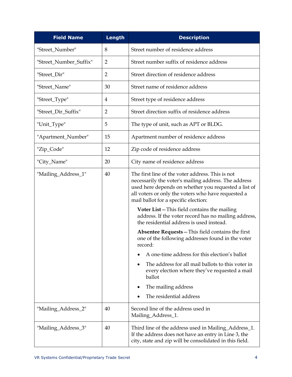| <b>Field Name</b>      | Length         | <b>Description</b>                                                                                                                                                                                                                                                                                                                                                                                                                                                                                                                                                                                                                                                                                                                                                |
|------------------------|----------------|-------------------------------------------------------------------------------------------------------------------------------------------------------------------------------------------------------------------------------------------------------------------------------------------------------------------------------------------------------------------------------------------------------------------------------------------------------------------------------------------------------------------------------------------------------------------------------------------------------------------------------------------------------------------------------------------------------------------------------------------------------------------|
| "Street_Number"        | 8              | Street number of residence address                                                                                                                                                                                                                                                                                                                                                                                                                                                                                                                                                                                                                                                                                                                                |
| "Street_Number_Suffix" | $\overline{2}$ | Street number suffix of residence address                                                                                                                                                                                                                                                                                                                                                                                                                                                                                                                                                                                                                                                                                                                         |
| "Street_Dir"           | $\overline{2}$ | Street direction of residence address                                                                                                                                                                                                                                                                                                                                                                                                                                                                                                                                                                                                                                                                                                                             |
| "Street_Name"          | 30             | Street name of residence address                                                                                                                                                                                                                                                                                                                                                                                                                                                                                                                                                                                                                                                                                                                                  |
| "Street_Type"          | 4              | Street type of residence address                                                                                                                                                                                                                                                                                                                                                                                                                                                                                                                                                                                                                                                                                                                                  |
| "Street_Dir_Suffix"    | $\overline{2}$ | Street direction suffix of residence address                                                                                                                                                                                                                                                                                                                                                                                                                                                                                                                                                                                                                                                                                                                      |
| "Unit_Type"            | 5              | The type of unit, such as APT or BLDG.                                                                                                                                                                                                                                                                                                                                                                                                                                                                                                                                                                                                                                                                                                                            |
| "Apartment_Number"     | 15             | Apartment number of residence address                                                                                                                                                                                                                                                                                                                                                                                                                                                                                                                                                                                                                                                                                                                             |
| "Zip_Code"             | 12             | Zip code of residence address                                                                                                                                                                                                                                                                                                                                                                                                                                                                                                                                                                                                                                                                                                                                     |
| "City_Name"            | 20             | City name of residence address                                                                                                                                                                                                                                                                                                                                                                                                                                                                                                                                                                                                                                                                                                                                    |
| "Mailing_Address_1"    | 40             | The first line of the voter address. This is not<br>necessarily the voter's mailing address. The address<br>used here depends on whether you requested a list of<br>all voters or only the voters who have requested a<br>mail ballot for a specific election:<br><b>Voter List</b> - This field contains the mailing<br>address. If the voter record has no mailing address,<br>the residential address is used instead.<br>Absentee Requests – This field contains the first<br>one of the following addresses found in the voter<br>record:<br>A one-time address for this election's ballot<br>The address for all mail ballots to this voter in<br>every election where they've requested a mail<br>ballot<br>The mailing address<br>The residential address |
| "Mailing_Address_2"    | 40             | Second line of the address used in<br>Mailing_Address_1.                                                                                                                                                                                                                                                                                                                                                                                                                                                                                                                                                                                                                                                                                                          |
| "Mailing_Address_3"    | 40             | Third line of the address used in Mailing_Address_1.<br>If the address does not have an entry in Line 3, the<br>city, state and zip will be consolidated in this field.                                                                                                                                                                                                                                                                                                                                                                                                                                                                                                                                                                                           |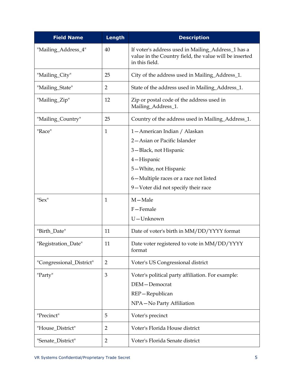| <b>Field Name</b>        | Length         | <b>Description</b>                                                                                                                                                                                        |
|--------------------------|----------------|-----------------------------------------------------------------------------------------------------------------------------------------------------------------------------------------------------------|
| "Mailing_Address_4"      | 40             | If voter's address used in Mailing_Address_1 has a<br>value in the Country field, the value will be inserted<br>in this field.                                                                            |
| "Mailing_City"           | 25             | City of the address used in Mailing_Address_1.                                                                                                                                                            |
| "Mailing_State"          | $\overline{2}$ | State of the address used in Mailing_Address_1.                                                                                                                                                           |
| "Mailing_Zip"            | 12             | Zip or postal code of the address used in<br>Mailing_Address_1.                                                                                                                                           |
| "Mailing_Country"        | 25             | Country of the address used in Mailing_Address_1.                                                                                                                                                         |
| "Race"                   | 1              | 1-American Indian / Alaskan<br>2-Asian or Pacific Islander<br>3-Black, not Hispanic<br>4-Hispanic<br>5-White, not Hispanic<br>6-Multiple races or a race not listed<br>9-Voter did not specify their race |
| "Sex"                    | $\mathbf{1}$   | $M - Male$<br>F-Female<br>U-Unknown                                                                                                                                                                       |
| "Birth_Date"             | 11             | Date of voter's birth in MM/DD/YYYY format                                                                                                                                                                |
| "Registration_Date"      | 11             | Date voter registered to vote in MM/DD/YYYY<br>format                                                                                                                                                     |
| "Congressional_District" | $\overline{2}$ | Voter's US Congressional district                                                                                                                                                                         |
| "Party"                  | 3              | Voter's political party affiliation. For example:<br>DEM-Democrat<br>REP-Republican<br>NPA-No Party Affiliation                                                                                           |
| "Precinct"               | 5              | Voter's precinct                                                                                                                                                                                          |
| "House_District"         | $\overline{2}$ | Voter's Florida House district                                                                                                                                                                            |
| "Senate_District"        | $\overline{2}$ | Voter's Florida Senate district                                                                                                                                                                           |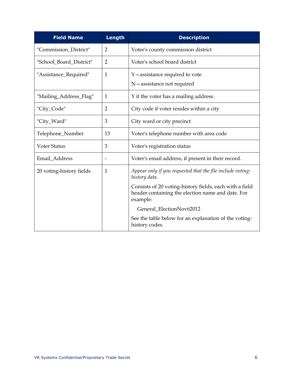| <b>Field Name</b>        | Length         | <b>Description</b>                                                                                                       |
|--------------------------|----------------|--------------------------------------------------------------------------------------------------------------------------|
| "Commission_District"    | $\overline{2}$ | Voter's county commission district                                                                                       |
| "School_Board_District"  | $\overline{2}$ | Voter's school board district                                                                                            |
| "Assistance_Required"    | $\mathbf{1}$   | Y — assistance required to vote<br>N-assistance not required                                                             |
| "Mailing_Address_Flag"   | $\mathbf{1}$   | Y if the voter has a mailing address.                                                                                    |
| "City_Code"              | $\overline{2}$ | City code if voter resides within a city                                                                                 |
| "City_Ward"              | 3              | City ward or city precinct                                                                                               |
| Telephone_Number         | 13             | Voter's telephone number with area code                                                                                  |
| <b>Voter Status</b>      | 3              | Voter's registration status                                                                                              |
| Email_Address            |                | Voter's email address, if present in their record.                                                                       |
| 20 voting-history fields | $\mathbf{1}$   | Appear only if you requested that the file include voting-<br>history data.                                              |
|                          |                | Consists of 20 voting-history fields, each with a field<br>header containing the election name and date. For<br>example: |
|                          |                | General_ElectionNov62012                                                                                                 |
|                          |                | See the table below for an explanation of the voting-<br>history codes.                                                  |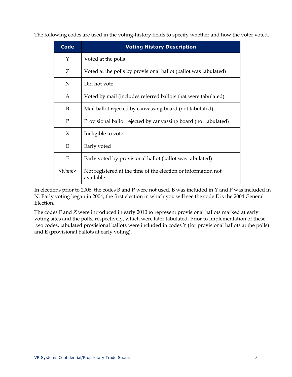The following codes are used in the voting-history fields to specify whether and how the voter voted.

| <b>Code</b>                      | <b>Voting History Description</b>                                          |
|----------------------------------|----------------------------------------------------------------------------|
| Y                                | Voted at the polls                                                         |
| Z                                | Voted at the polls by provisional ballot (ballot was tabulated)            |
| $\mathbf N$                      | Did not vote                                                               |
| A                                | Voted by mail (includes referred ballots that were tabulated)              |
| B                                | Mail ballot rejected by canvassing board (not tabulated)                   |
| $\mathbf{P}$                     | Provisional ballot rejected by canvassing board (not tabulated)            |
| $\chi$                           | Ineligible to vote                                                         |
| E                                | Early voted                                                                |
| $\mathbf{F}$                     | Early voted by provisional ballot (ballot was tabulated)                   |
| $\langle \textit{blank} \rangle$ | Not registered at the time of the election or information not<br>available |

In elections prior to 2006, the codes B and P were not used. B was included in Y and P was included in N. Early voting began in 2004; the first election in which you will see the code E is the 2004 General Election.

The codes F and Z were introduced in early 2010 to represent provisional ballots marked at early voting sites and the polls, respectively, which were later tabulated. Prior to implementation of these two codes, tabulated provisional ballots were included in codes Y (for provisional ballots at the polls) and E (provisional ballots at early voting).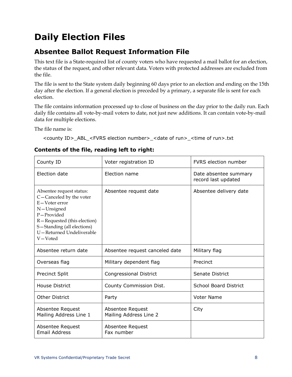# <span id="page-10-0"></span>**Daily Election Files**

#### <span id="page-10-1"></span>**Absentee Ballot Request Information File**

This text file is a State-required list of county voters who have requested a mail ballot for an election, the status of the request, and other relevant data. Voters with protected addresses are excluded from the file.

The file is sent to the State system daily beginning 60 days prior to an election and ending on the 15th day after the election. If a general election is preceded by a primary, a separate file is sent for each election.

The file contains information processed up to close of business on the day prior to the daily run. Each daily file contains all vote-by-mail voters to date, not just new additions. It can contain vote-by-mail data for multiple elections.

The file name is:

<county ID>\_ABL\_<FVRS election number>\_<date of run>\_<time of run>.txt

| County ID                                                                                                                                                                                            | Voter registration ID                      | <b>FVRS</b> election number                  |
|------------------------------------------------------------------------------------------------------------------------------------------------------------------------------------------------------|--------------------------------------------|----------------------------------------------|
| Election date                                                                                                                                                                                        | Election name                              | Date absentee summary<br>record last updated |
| Absentee request status:<br>C-Canceled by the voter<br>E-Voter error<br>N-Unsigned<br>P-Provided<br>R-Requested (this election)<br>S-Standing (all elections)<br>U-Returned Undeliverable<br>V-Voted | Absentee request date                      | Absentee delivery date                       |
| Absentee return date                                                                                                                                                                                 | Absentee request canceled date             | Military flag                                |
| Overseas flag                                                                                                                                                                                        | Military dependent flag                    | Precinct                                     |
| <b>Precinct Split</b>                                                                                                                                                                                | <b>Congressional District</b>              | Senate District                              |
| <b>House District</b>                                                                                                                                                                                | County Commission Dist.                    | <b>School Board District</b>                 |
| <b>Other District</b>                                                                                                                                                                                | Party                                      | <b>Voter Name</b>                            |
| Absentee Request<br>Mailing Address Line 1                                                                                                                                                           | Absentee Request<br>Mailing Address Line 2 | City                                         |
| Absentee Request<br><b>Email Address</b>                                                                                                                                                             | Absentee Request<br>Fax number             |                                              |

#### **Contents of the file, reading left to right:**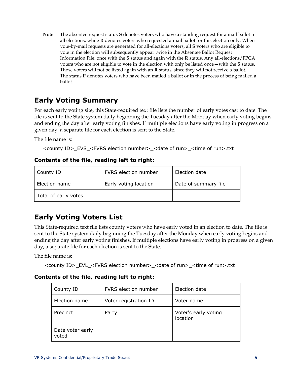**Note** The absentee request status **S** denotes voters who have a standing request for a mail ballot in all elections, while **R** denotes voters who requested a mail ballot for this election only. When vote-by-mail requests are generated for all-elections voters, all **S** voters who are eligible to vote in the election will subsequently appear twice in the Absentee Ballot Request Information File: once with the **S** status and again with the **R** status. Any all-elections/FPCA voters who are not eligible to vote in the election with only be listed once—with the **S** status. Those voters will not be listed again with an **R** status, since they will not receive a ballot. The status **P** denotes voters who have been mailed a ballot or in the process of being mailed a ballot.

#### <span id="page-11-0"></span>**Early Voting Summary**

For each early voting site, this State-required text file lists the number of early votes cast to date. The file is sent to the State system daily beginning the Tuesday after the Monday when early voting begins and ending the day after early voting finishes. If multiple elections have early voting in progress on a given day, a separate file for each election is sent to the State.

The file name is:

<county ID>\_EVS\_<FVRS election number>\_<date of run>\_<time of run>.txt

#### **Contents of the file, reading left to right:**

| County ID            | FVRS election number  | Election date        |
|----------------------|-----------------------|----------------------|
| Election name        | Early voting location | Date of summary file |
| Total of early votes |                       |                      |

#### <span id="page-11-1"></span>**Early Voting Voters List**

This State-required text file lists county voters who have early voted in an election to date. The file is sent to the State system daily beginning the Tuesday after the Monday when early voting begins and ending the day after early voting finishes. If multiple elections have early voting in progress on a given day, a separate file for each election is sent to the State.

The file name is:

<county ID>\_EVL\_<FVRS election number>\_<date of run>\_<time of run>.txt

#### **Contents of the file, reading left to right:**

| County ID                 | FVRS election number  | Election date                    |
|---------------------------|-----------------------|----------------------------------|
| Election name             | Voter registration ID | Voter name                       |
| Precinct                  | Party                 | Voter's early voting<br>location |
| Date voter early<br>voted |                       |                                  |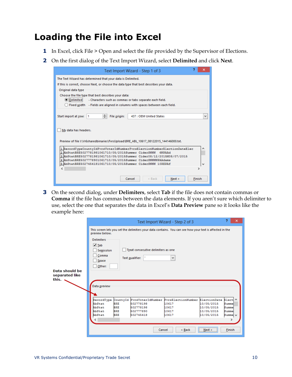## <span id="page-12-0"></span>**Loading the File into Excel**

- **1** In Excel, click File > Open and select the file provided by the Supervisor of Elections.
- **2** On the first dialog of the Text Import Wizard, select **Delimited** and click **Next**.

| Text Import Wizard - Step 1 of 3                                                                                                                                                                                                                                                                                                                      |        | ×            |
|-------------------------------------------------------------------------------------------------------------------------------------------------------------------------------------------------------------------------------------------------------------------------------------------------------------------------------------------------------|--------|--------------|
| The Text Wizard has determined that your data is Delimited.<br>If this is correct, choose Next, or choose the data type that best describes your data.                                                                                                                                                                                                |        |              |
| Original data type<br>Choose the file type that best describes your data:<br>Delimited<br>- Characters such as commas or tabs separate each field.<br>Fixed width - Fields are aligned in columns with spaces between each field.                                                                                                                     |        |              |
| ÷<br>Start import at row:<br>File origin:<br>437 : OEM United States<br>1                                                                                                                                                                                                                                                                             |        | $\checkmark$ |
| My data has headers.                                                                                                                                                                                                                                                                                                                                  |        |              |
| Preview of file I:\Vr6sharedbinaries\FvrsUpload\BRE_ABL_10617_08122015_144146000.txt.                                                                                                                                                                                                                                                                 |        |              |
| 1 RecordTypeCountyIdFvrsVoterIdNumberFvrsElectionNumberElectionDateElec<br>2 AbStatBRE5027781981061710/05/2015Summer CiderSNNN<br><b>GNPAAd</b><br>3 AbStatBRE5027781981061710/05/2015Summer Cider08/12/2015M08/07/2015<br>4 AbStatBRE5027778901061710/05/2015Summer CiderSNNNNPAAdams<br>5 AbStatBRE5027454181061710/05/2015Summer CiderSNNN 10REPAf |        |              |
|                                                                                                                                                                                                                                                                                                                                                       |        |              |
| Cancel<br>$<$ Back<br>Next >                                                                                                                                                                                                                                                                                                                          | Finish |              |

**3** On the second dialog, under **Delimiters**, select **Tab** if the file does not contain commas or **Comma** if the file has commas between the data elements. If you aren't sure which delimiter to use, select the one that separates the data in Excel's **Data Preview** pane so it looks like the example here:

|                                           |                                                                                                                |                                                                  |                                                                                 | Text Import Wizard - Step 2 of 3                                                                              |                                                                                                 | 9<br>×                                            |
|-------------------------------------------|----------------------------------------------------------------------------------------------------------------|------------------------------------------------------------------|---------------------------------------------------------------------------------|---------------------------------------------------------------------------------------------------------------|-------------------------------------------------------------------------------------------------|---------------------------------------------------|
| Data should be<br>separated like<br>this. | preview below.<br><b>Delimiters</b><br>$\sqrt{I}$ Tab<br>Semicolon<br>Comma<br>Space<br>Other:<br>Data preview |                                                                  | Treat consecutive delimiters as one<br>Text qualifier:                          | This screen lets you set the delimiters your data contains. You can see how your text is affected in the<br>٧ |                                                                                                 |                                                   |
|                                           | RecordType<br>AbStat<br>AbStat<br>AbStat<br>AbStat                                                             | CountyId<br><b>BRE</b><br><b>BRE</b><br><b>BRE</b><br><b>BRE</b> | FvrsVoterIdNumber<br>502778198<br>502778198<br>502777890<br>502745418<br>Cancel | FvrsElectionNumber<br>10617<br>10617<br>10617<br>10617<br>< Back                                              | ElectionDate Elect <sup>/</sup><br>10/05/2015<br>10/05/2015<br>10/05/2015<br>10/05/2015<br>Next | Summe<br>Summe<br>Summe<br>Summe v<br>⋗<br>Finish |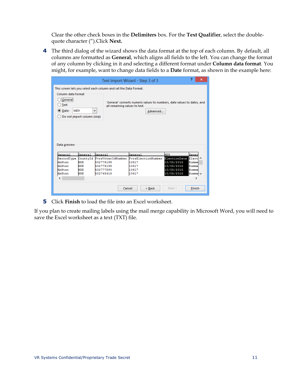Clear the other check boxes in the **Delimiters** box. For the **Text Qualifier**, select the doublequote character (").Click **Next.**

**4** The third dialog of the wizard shows the data format at the top of each column. By default, all columns are formatted as **General**, which aligns all fields to the left. You can change the format of any column by clicking in it and selecting a different format under **Column data format**. You might, for example, want to change data fields to a **Date** format, as shown in the example here:

|                                                   |                             |                                                                  | Text Import Wizard - Step 3 of 3                                                    |              | 2       | × |
|---------------------------------------------------|-----------------------------|------------------------------------------------------------------|-------------------------------------------------------------------------------------|--------------|---------|---|
| Column data format                                |                             | This screen lets you select each column and set the Data Format. |                                                                                     |              |         |   |
| General<br><b>Text</b><br><b>MDY</b><br>(●) Date: |                             | all remaining values to text.<br>v                               | 'General' converts numeric values to numbers, date values to dates, and<br>Advanced |              |         |   |
|                                                   | Do not import column (skip) |                                                                  |                                                                                     |              |         |   |
|                                                   |                             |                                                                  |                                                                                     |              |         |   |
| Data preview                                      |                             |                                                                  |                                                                                     |              |         |   |
| General                                           | General                     | General                                                          | General                                                                             | <b>MDY</b>   | Gener   |   |
| RecordType                                        | CountyId                    | FvrsVoterIdNumber                                                | FvrsElectionNumber                                                                  | ElectionDate | Elect ^ |   |
| AbStat                                            | <b>BRE</b>                  | 502778198                                                        | 10617                                                                               | 10/05/2015   | Summe   |   |
| AbStat                                            | <b>BRE</b>                  | 502778198                                                        | 10617                                                                               | 10/05/2015   | Summe   |   |
| AbStat                                            | <b>BRE</b>                  | 502777890                                                        | 10617                                                                               | 10/05/2015   | Summe   |   |
| AbStat                                            | BRE                         | 502745418                                                        | 10617                                                                               | 10/05/2015   | Summe v |   |
| ℯ                                                 |                             |                                                                  |                                                                                     |              | ⋗       |   |
|                                                   |                             | Cancel                                                           | < Back                                                                              | Next >       | Finish  |   |

**5** Click **Finish** to load the file into an Excel worksheet.

If you plan to create mailing labels using the mail merge capability in Microsoft Word, you will need to save the Excel worksheet as a text (TXT) file.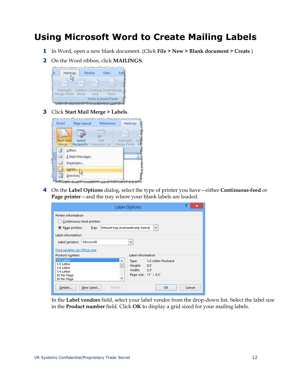### <span id="page-14-0"></span>**Using Microsoft Word to Create Mailing Labels**

- **1** In Word, open a new blank document. (Click **File > New > Blank document > Create**.)
- **2** On the Word ribbon, click **MAILINGS**.



**3** Click **Start Mail Merge > Labels**.



**4** On the **Label Options** dialog, select the type of printer you have—either **Continuous-feed** or **Page printer**—and the tray where your blank labels are loaded.

|                                                                                                                                     | <b>Label Options</b>                                                                                                              | 2<br>× |
|-------------------------------------------------------------------------------------------------------------------------------------|-----------------------------------------------------------------------------------------------------------------------------------|--------|
| <b>Printer information</b><br>Continuous-feed printers<br>C Page printers<br>Tray:                                                  | Default tray (Automatically Select)<br>٧                                                                                          |        |
| Label information<br>Microsoft<br>Label vendors:                                                                                    | v                                                                                                                                 |        |
| Find updates on Office.com<br>Product number:<br>1/2 Letter<br>1/2 Letter<br>1/4 Letter<br>1/4 Letter<br>30 Per Page<br>30 Per Page | Label information<br>1/2 Letter Postcard<br>Type:<br>$\wedge$<br>Height: 8.5"<br>Width: $5.5^\circ$<br>Page size: 11" × 8.5"<br>v |        |
| New Label<br>Details                                                                                                                | <b>OK</b><br>Delete                                                                                                               | Cancel |

In the **Label vendors** field, select your label vendor from the drop-down list. Select the label size in the **Product number** field. Click **OK** to display a grid sized for your mailing labels.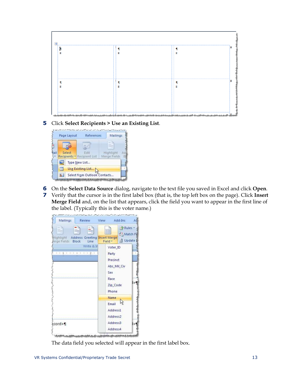

**5** Click **Select Recipients > Use an Existing List**.



- **6** On the **Select Data Source** dialog, navigate to the text file you saved in Excel and click **Open**.
- **7** Verify that the cursor is in the first label box (that is, the top left box on the page). Click **Insert Merge Field** and, on the list that appears, click the field you want to appear in the first line of the label. (Typically this is the voter name.)



The data field you selected will appear in the first label box.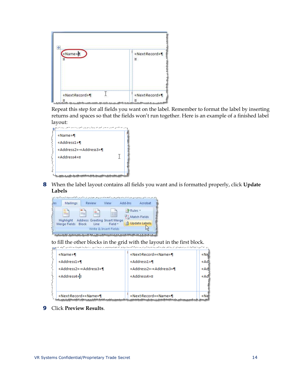| «Name»<br>¤ | «NextRecord»¶<br>¤ |
|-------------|--------------------|
|             |                    |
|             |                    |

Repeat this step for all fields you want on the label. Remember to format the label by inserting returns and spaces so that the fields won't run together. Here is an example of a finished label layout:

| المستحصص المستوفر وسيسون محملون والمتواز والمستوري والمحمسة والمرسوب للمراكب |  |
|------------------------------------------------------------------------------|--|
| «Name»¶                                                                      |  |
| «Address1»¶                                                                  |  |
| «Address2»-«Address3»¶                                                       |  |
| «Address4»¤                                                                  |  |
|                                                                              |  |
|                                                                              |  |
|                                                                              |  |

**8** When the label layout contains all fields you want and is formatted properly, click **Update Labels**

| les | Mailings                  |       | Review | View                                   | Add-Ins        | Acrobat              |
|-----|---------------------------|-------|--------|----------------------------------------|----------------|----------------------|
|     |                           |       |        | 嚚                                      | <b>P</b> Rules | 문급 Match Fields      |
|     | Highlight<br>Merge Fields | Block | Line   | Address Greeting Insert Merge<br>Field |                | <b>Update Labels</b> |
|     |                           |       |        | Write & Insert Fields                  |                |                      |

to fill the other blocks in the grid with the layout in the first block.

|                                                                                                                                         | <sub>ל</sub> פי אחרים אומרים המעשים של מקום את מרוכש את המונים המרוכש ממונים את אחרים ממונים, אי פי ממונים מעשים אחרים של הקו |      |
|-----------------------------------------------------------------------------------------------------------------------------------------|-------------------------------------------------------------------------------------------------------------------------------|------|
| «Name»¶                                                                                                                                 | «Next-Record» «Name» ¶                                                                                                        | «Nel |
| «Address1»¶                                                                                                                             | «Address1»¶                                                                                                                   | «Adl |
| «Address2»-«Address3»¶                                                                                                                  | «Address2»-«Address3»¶                                                                                                        | «Adl |
| «Address4»¤                                                                                                                             | «Address4»¤                                                                                                                   | «Ad  |
|                                                                                                                                         |                                                                                                                               |      |
|                                                                                                                                         |                                                                                                                               |      |
| «Next-Record» «Name» ¶<br>مستان كالمتحاصل وأرائد أكالمست ومستقرب كرائد متركاتك كالكاثر الترامين ويتحرك والكالات والتكاثر كروانه وبرزيان | «Next-Record» «Name» ¶                                                                                                        | «Ne  |

**9** Click **Preview Results**.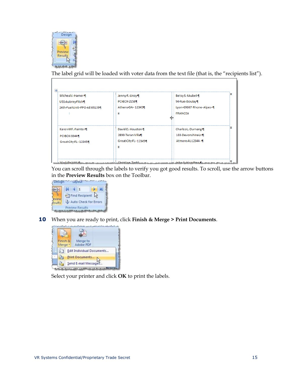

The label grid will be loaded with voter data from the text file (that is, the "recipients list").

| Karen-MF. Painter-1<br>PO-BOX-33441<br>Great City FL . 12345¶ | David D. Houston 1<br>2890-Teran-Villa¶<br>Great City FL-12345¶<br>ъ | Charles-L.-Durnang-<br>103-Devonshire Ln¶<br>Atmore AL12344 ·· 1 |  |
|---------------------------------------------------------------|----------------------------------------------------------------------|------------------------------------------------------------------|--|
|                                                               | u                                                                    | <b>FRANCEU</b>                                                   |  |
| USS-Aubrey-Fitch¶<br>24th-FuelUnit--FPO-AE-09139¶             | PO-BOX-2158¶<br>Athens GA-12345¶                                     | 94-Rue-Jboulay¶<br>Lyon-69007·Rhone-Alpes-¶                      |  |
| Micheal J. Hamer 1                                            | Jenny R. Linzy 1                                                     | Betsy S. tAubet 1                                                |  |

You can scroll through the labels to verify you got good results. To scroll, use the arrow buttons in the **Preview Results** box on the Toolbar.



**10** When you are ready to print, click **Finish & Merge > Print Documents**.



Select your printer and click **OK** to print the labels.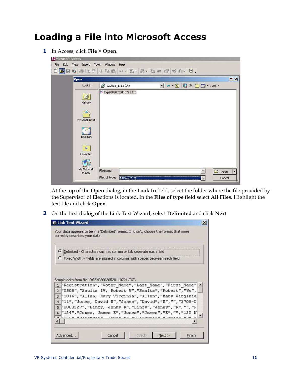#### <span id="page-18-0"></span>**Loading a File into Microsoft Access**

**1** In Access, click **File > Open**.

| <b>Open</b>               | 2 X                                                                                                                                                  |
|---------------------------|------------------------------------------------------------------------------------------------------------------------------------------------------|
| Look in:                  | $\Leftrightarrow$ $\cdot$ $\circledcirc$ $\otimes$ $\times$ $\circlearrowright$ $\Box$ $\cdot$ Tools $\cdot$<br>2 020528_1112 (D:)<br>$\blacksquare$ |
| S<br>History              | Exp20020528110721.txt                                                                                                                                |
| My Documents              |                                                                                                                                                      |
| Desktop<br>※<br>Favorites |                                                                                                                                                      |

At the top of the **Open** dialog, in the **Look In** field, select the folder where the file provided by the Supervisor of Elections is located. In the **Files of type** field select **All Files**. Highlight the text file and click **Open**.

**2** On the first dialog of the Link Text Wizard, select **Delimited** and click **Next**.

|                                    | <b>EB Link Text Wizard</b>                                                                                                                                                                                                                                                                                                                                               |
|------------------------------------|--------------------------------------------------------------------------------------------------------------------------------------------------------------------------------------------------------------------------------------------------------------------------------------------------------------------------------------------------------------------------|
|                                    | Your data appears to be in a 'Delimited' format. If it isn't, choose the format that more<br>correctly describes your data.                                                                                                                                                                                                                                              |
|                                    | <sup>6</sup> Delimited - Characters such as comma or tab separate each field                                                                                                                                                                                                                                                                                             |
|                                    | Fixed Width - Fields are aligned in columns with spaces between each field                                                                                                                                                                                                                                                                                               |
| $\overline{c}$<br>3<br>4<br>5<br>6 | "Registration", "Voter Name", "Last Name", "First Name"<br>"0508", "Saults IV, Robert W", "Saults", "Robert", "Ww",<br>"1016", "Allen, Mary Virginia", "Allen", "Mary Virginia<br>"11", "Jones, David M", "Jones", "David", "M", "", "3709-D<br>"0000227", "Linzy, Jenny R", "Linzy", "Jenny", "R", "", "P<br>"124", "Jones, James E", "Jones", "James", "E", "", "130 N |
|                                    |                                                                                                                                                                                                                                                                                                                                                                          |
|                                    |                                                                                                                                                                                                                                                                                                                                                                          |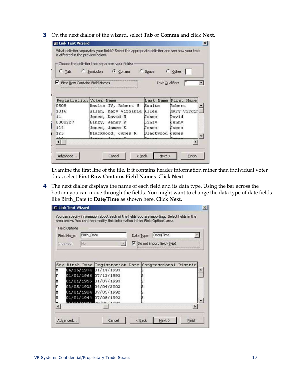**3** On the next dialog of the wizard, select **Tab** or **Comma** and click **Next**.

| C Tab                               | Choose the delimiter that separates your fields:<br>C Semicolon<br>Comma | C Space         | $\overline{C}$ Other: |
|-------------------------------------|--------------------------------------------------------------------------|-----------------|-----------------------|
| ⊽<br>First Row Contains Field Names |                                                                          | Text Qualifier: |                       |
| Registration Voter Name             |                                                                          | Last Name       | <b>First Name</b>     |
| 0508                                | Saults IV, Robert W                                                      | Saults          | Robert                |
| 1016                                | Allen, Mary Virginia                                                     | Allen           | Mary Virgir           |
| 11                                  | Jones, David M                                                           | Jones           | David                 |
| 0000227                             | Linzy, Jenny R                                                           | Linzy           | Jenny                 |
| 124                                 | Jones, James E                                                           | Jones           | James                 |
| 125                                 | Blackwood, James R                                                       | Blackwood       | James                 |

Examine the first line of the file. If it contains header information rather than individual voter data, select **First Row Contains Field Names**. Click **Next**.

**4** The next dialog displays the name of each field and its data type. Using the bar across the bottom you can move through the fields. You might want to change the data type of date fields like Birth\_Date to **Date/Time** as shown here. Click **Next**.

|     | <b>Field Options</b><br>Field Name: | Birth_Date |                              | Data Type: | Date/Time                  |  |
|-----|-------------------------------------|------------|------------------------------|------------|----------------------------|--|
|     | Indexed:                            | No         |                              | ⊽          | Do not import field (Skip) |  |
|     |                                     |            |                              |            |                            |  |
| Sex |                                     |            | Birth Date Registration Date |            | Congressional Distric      |  |
| M   |                                     |            | 06/16/1974 01/14/1993        |            |                            |  |
|     |                                     |            | 01/01/1966 07/13/1993        |            |                            |  |
|     |                                     |            | 01/01/1955 01/07/1993        |            |                            |  |
|     |                                     |            | 03/05/1923 04/04/2002        |            |                            |  |
|     |                                     |            | 01/01/1904 07/05/1992        |            |                            |  |
|     |                                     |            | 01/01/1944 07/05/1992        |            |                            |  |
|     |                                     |            | CDIOCIAAA                    |            |                            |  |